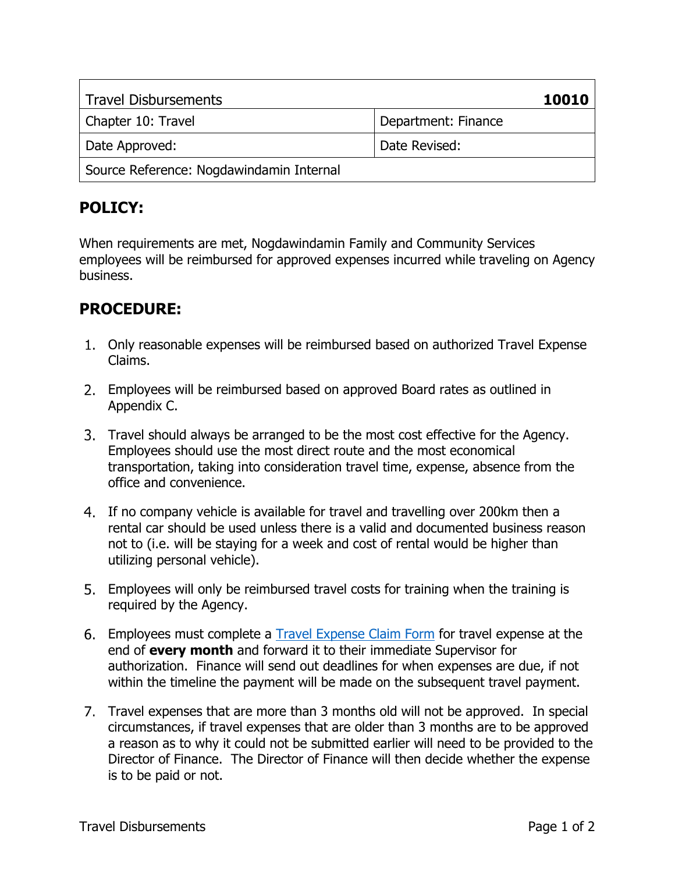| <b>Travel Disbursements</b>              | 10010               |
|------------------------------------------|---------------------|
| Chapter 10: Travel                       | Department: Finance |
| Date Approved:                           | Date Revised:       |
| Source Reference: Nogdawindamin Internal |                     |

When requirements are met, Nogdawindamin Family and Community Services employees will be reimbursed for approved expenses incurred while traveling on Agency business.

- Only reasonable expenses will be reimbursed based on authorized Travel Expense Claims.
- Employees will be reimbursed based on approved Board rates as outlined in Appendix C.
- Travel should always be arranged to be the most cost effective for the Agency. Employees should use the most direct route and the most economical transportation, taking into consideration travel time, expense, absence from the office and convenience.
- If no company vehicle is available for travel and travelling over 200km then a rental car should be used unless there is a valid and documented business reason not to (i.e. will be staying for a week and cost of rental would be higher than utilizing personal vehicle).
- Employees will only be reimbursed travel costs for training when the training is required by the Agency.
- 6. Employees must complete a **Travel Expense Claim Form** for travel expense at the end of **every month** and forward it to their immediate Supervisor for authorization. Finance will send out deadlines for when expenses are due, if not within the timeline the payment will be made on the subsequent travel payment.
- Travel expenses that are more than 3 months old will not be approved. In special circumstances, if travel expenses that are older than 3 months are to be approved a reason as to why it could not be submitted earlier will need to be provided to the Director of Finance. The Director of Finance will then decide whether the expense is to be paid or not.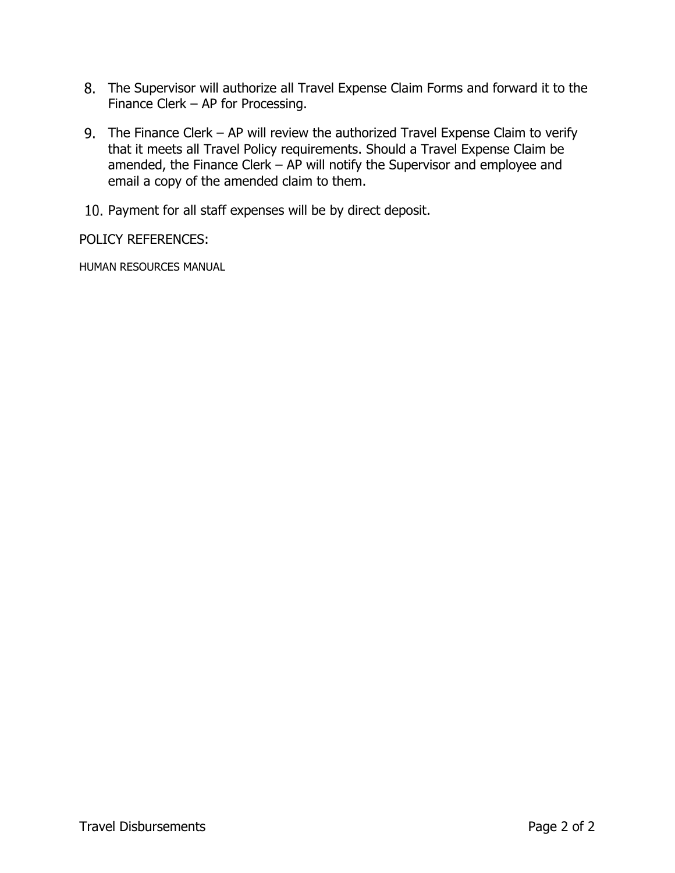- The Supervisor will authorize all Travel Expense Claim Forms and forward it to the Finance Clerk – AP for Processing.
- The Finance Clerk AP will review the authorized Travel Expense Claim to verify that it meets all Travel Policy requirements. Should a Travel Expense Claim be amended, the Finance Clerk – AP will notify the Supervisor and employee and email a copy of the amended claim to them.
- 10. Payment for all staff expenses will be by direct deposit.

POLICY REFERENCES:

HUMAN RESOURCES MANUAL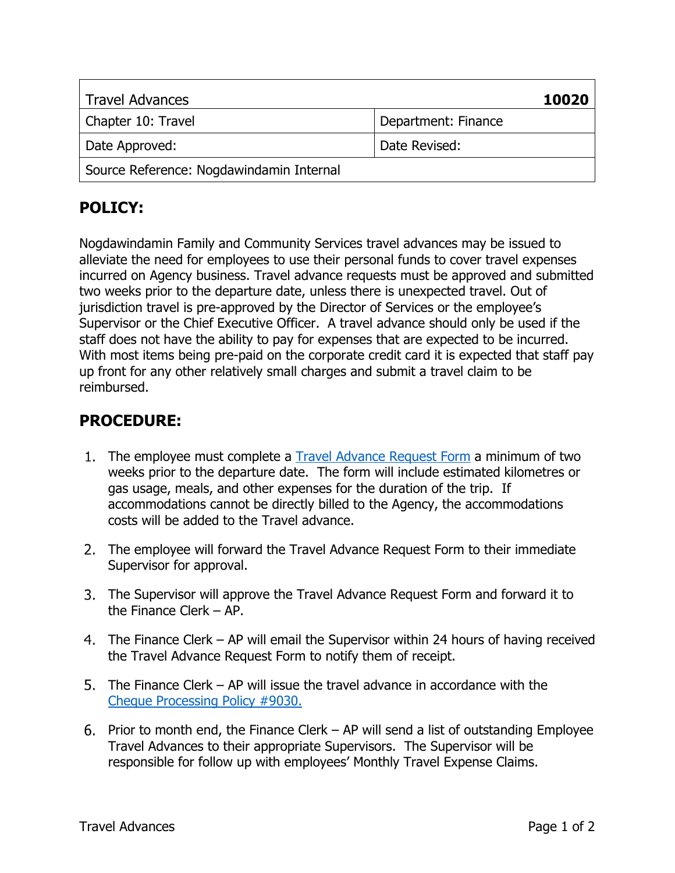| <b>Travel Advances</b>                   | 10020               |
|------------------------------------------|---------------------|
| Chapter 10: Travel                       | Department: Finance |
| Date Approved:                           | Date Revised:       |
| Source Reference: Nogdawindamin Internal |                     |

Nogdawindamin Family and Community Services travel advances may be issued to alleviate the need for employees to use their personal funds to cover travel expenses incurred on Agency business. Travel advance requests must be approved and submitted two weeks prior to the departure date, unless there is unexpected travel. Out of jurisdiction travel is pre-approved by the Director of Services or the employee's Supervisor or the Chief Executive Officer. A travel advance should only be used if the staff does not have the ability to pay for expenses that are expected to be incurred. With most items being pre-paid on the corporate credit card it is expected that staff pay up front for any other relatively small charges and submit a travel claim to be reimbursed.

- 1. The employee must complete a Travel Advance Request Form a minimum of two weeks prior to the departure date. The form will include estimated kilometres or gas usage, meals, and other expenses for the duration of the trip. If accommodations cannot be directly billed to the Agency, the accommodations costs will be added to the Travel advance.
- 2. The employee will forward the Travel Advance Request Form to their immediate Supervisor for approval.
- The Supervisor will approve the Travel Advance Request Form and forward it to the Finance Clerk – AP.
- The Finance Clerk AP will email the Supervisor within 24 hours of having received the Travel Advance Request Form to notify them of receipt.
- 5. The Finance Clerk AP will issue the travel advance in accordance with the Cheque Processing Policy #9030.
- 6. Prior to month end, the Finance Clerk  $-$  AP will send a list of outstanding Employee Travel Advances to their appropriate Supervisors. The Supervisor will be responsible for follow up with employees' Monthly Travel Expense Claims.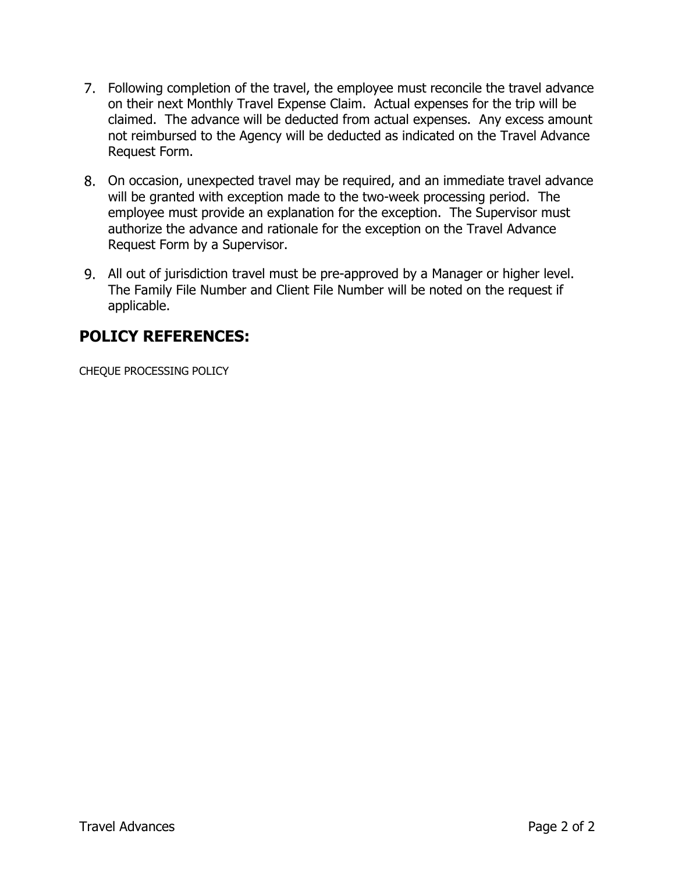- Following completion of the travel, the employee must reconcile the travel advance on their next Monthly Travel Expense Claim. Actual expenses for the trip will be claimed. The advance will be deducted from actual expenses. Any excess amount not reimbursed to the Agency will be deducted as indicated on the Travel Advance Request Form.
- On occasion, unexpected travel may be required, and an immediate travel advance will be granted with exception made to the two-week processing period. The employee must provide an explanation for the exception. The Supervisor must authorize the advance and rationale for the exception on the Travel Advance Request Form by a Supervisor.
- All out of jurisdiction travel must be pre-approved by a Manager or higher level. The Family File Number and Client File Number will be noted on the request if applicable.

### **POLICY REFERENCES:**

CHEQUE PROCESSING POLICY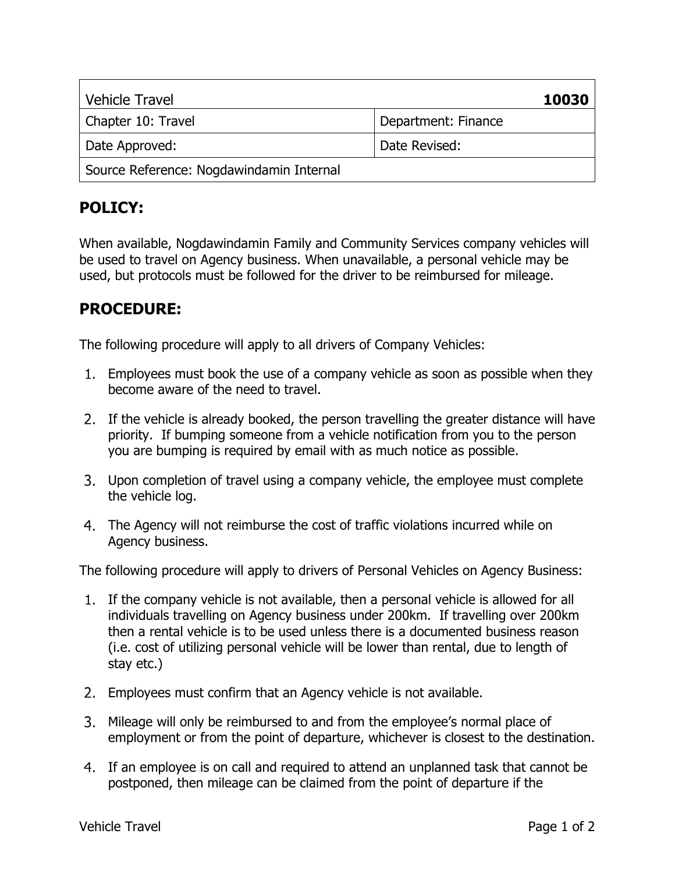| <b>Vehicle Travel</b>                    | 10030               |
|------------------------------------------|---------------------|
| Chapter 10: Travel                       | Department: Finance |
| Date Approved:                           | Date Revised:       |
| Source Reference: Nogdawindamin Internal |                     |

When available, Nogdawindamin Family and Community Services company vehicles will be used to travel on Agency business. When unavailable, a personal vehicle may be used, but protocols must be followed for the driver to be reimbursed for mileage.

### **PROCEDURE:**

The following procedure will apply to all drivers of Company Vehicles:

- Employees must book the use of a company vehicle as soon as possible when they become aware of the need to travel.
- 2. If the vehicle is already booked, the person travelling the greater distance will have priority. If bumping someone from a vehicle notification from you to the person you are bumping is required by email with as much notice as possible.
- Upon completion of travel using a company vehicle, the employee must complete the vehicle log.
- The Agency will not reimburse the cost of traffic violations incurred while on Agency business.

The following procedure will apply to drivers of Personal Vehicles on Agency Business:

- If the company vehicle is not available, then a personal vehicle is allowed for all individuals travelling on Agency business under 200km. If travelling over 200km then a rental vehicle is to be used unless there is a documented business reason (i.e. cost of utilizing personal vehicle will be lower than rental, due to length of stay etc.)
- Employees must confirm that an Agency vehicle is not available.
- Mileage will only be reimbursed to and from the employee's normal place of employment or from the point of departure, whichever is closest to the destination.
- If an employee is on call and required to attend an unplanned task that cannot be postponed, then mileage can be claimed from the point of departure if the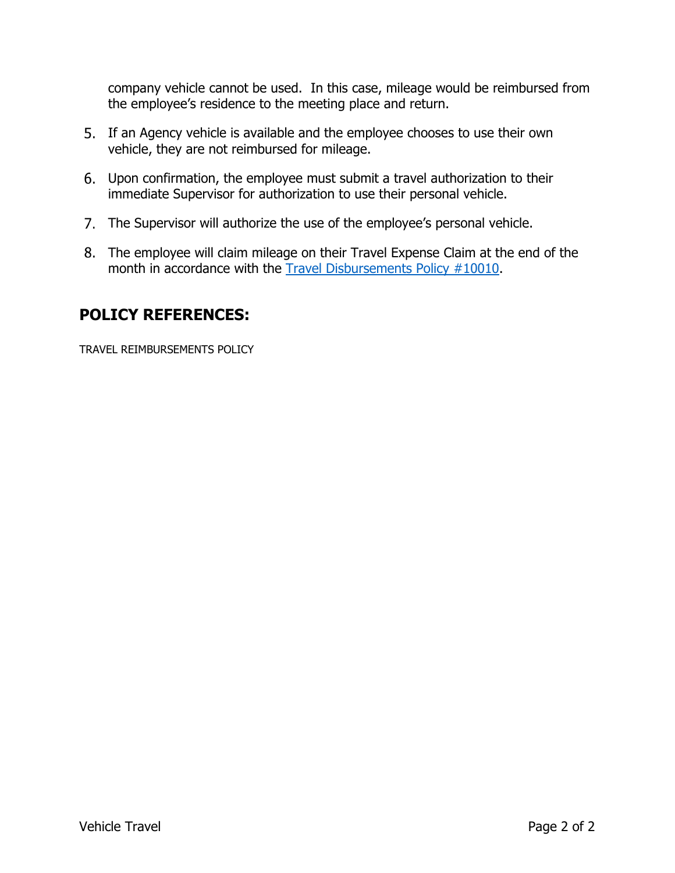company vehicle cannot be used. In this case, mileage would be reimbursed from the employee's residence to the meeting place and return.

- If an Agency vehicle is available and the employee chooses to use their own vehicle, they are not reimbursed for mileage.
- Upon confirmation, the employee must submit a travel authorization to their immediate Supervisor for authorization to use their personal vehicle.
- The Supervisor will authorize the use of the employee's personal vehicle.
- The employee will claim mileage on their Travel Expense Claim at the end of the month in accordance with the Travel Disbursements Policy #10010.

## **POLICY REFERENCES:**

TRAVEL REIMBURSEMENTS POLICY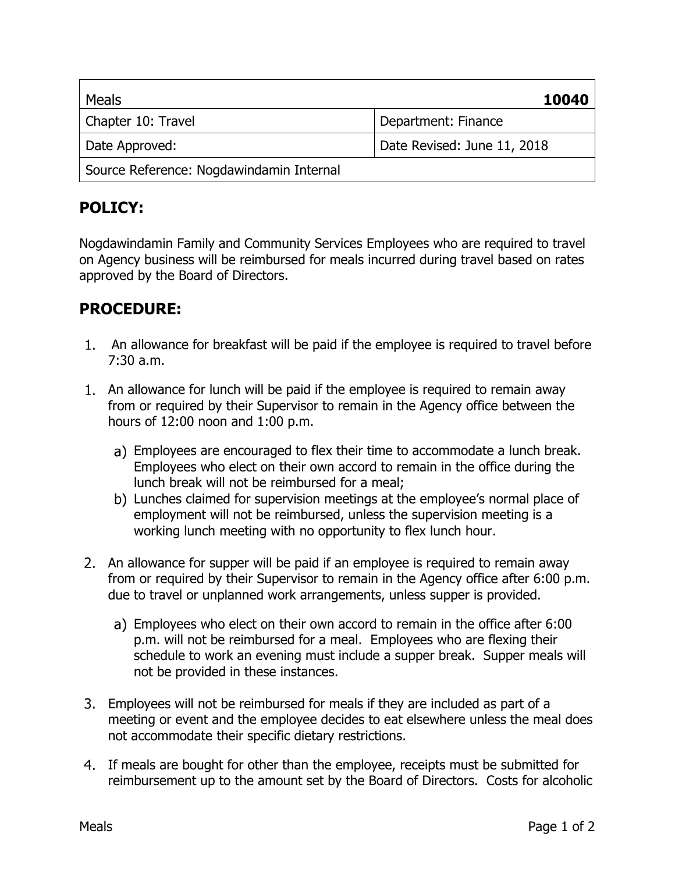| Meals                                    | 10040                       |
|------------------------------------------|-----------------------------|
| Chapter 10: Travel                       | Department: Finance         |
| Date Approved:                           | Date Revised: June 11, 2018 |
| Source Reference: Nogdawindamin Internal |                             |

Nogdawindamin Family and Community Services Employees who are required to travel on Agency business will be reimbursed for meals incurred during travel based on rates approved by the Board of Directors.

- An allowance for breakfast will be paid if the employee is required to travel before 7:30 a.m.
- An allowance for lunch will be paid if the employee is required to remain away from or required by their Supervisor to remain in the Agency office between the hours of 12:00 noon and 1:00 p.m.
	- Employees are encouraged to flex their time to accommodate a lunch break. Employees who elect on their own accord to remain in the office during the lunch break will not be reimbursed for a meal;
	- b) Lunches claimed for supervision meetings at the employee's normal place of employment will not be reimbursed, unless the supervision meeting is a working lunch meeting with no opportunity to flex lunch hour.
- An allowance for supper will be paid if an employee is required to remain away from or required by their Supervisor to remain in the Agency office after 6:00 p.m. due to travel or unplanned work arrangements, unless supper is provided.
	- Employees who elect on their own accord to remain in the office after 6:00 p.m. will not be reimbursed for a meal. Employees who are flexing their schedule to work an evening must include a supper break. Supper meals will not be provided in these instances.
- Employees will not be reimbursed for meals if they are included as part of a meeting or event and the employee decides to eat elsewhere unless the meal does not accommodate their specific dietary restrictions.
- If meals are bought for other than the employee, receipts must be submitted for reimbursement up to the amount set by the Board of Directors. Costs for alcoholic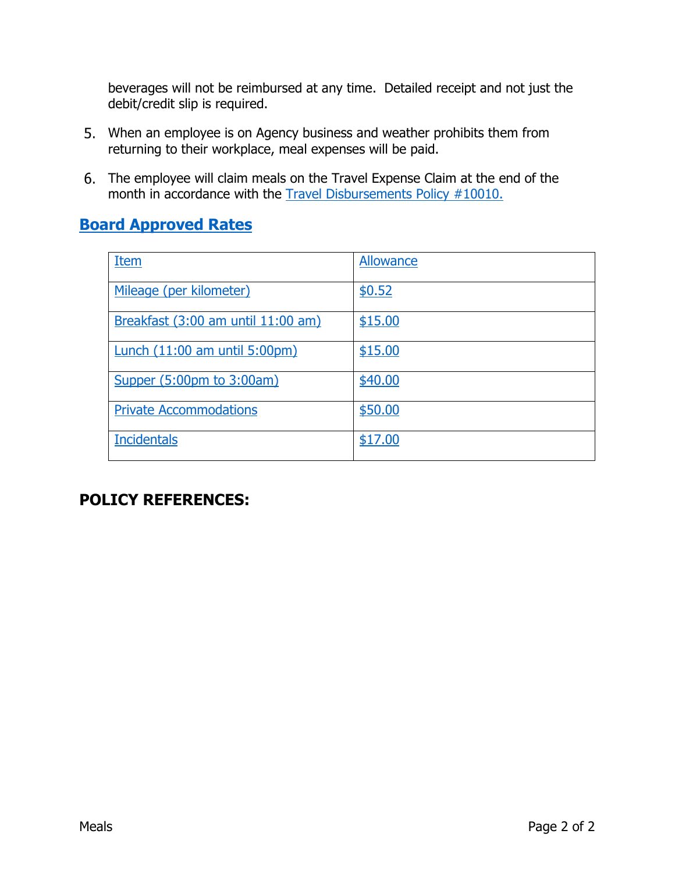beverages will not be reimbursed at any time. Detailed receipt and not just the debit/credit slip is required.

- When an employee is on Agency business and weather prohibits them from returning to their workplace, meal expenses will be paid.
- The employee will claim meals on the Travel Expense Claim at the end of the month in accordance with the Travel Disbursements Policy #10010.

#### **Board Approved Rates**

| Item                               | Allowance |
|------------------------------------|-----------|
| Mileage (per kilometer)            | \$0.52    |
| Breakfast (3:00 am until 11:00 am) | \$15.00   |
| Lunch (11:00 am until 5:00pm)      | \$15.00   |
| Supper (5:00pm to 3:00am)          | \$40.00   |
| <b>Private Accommodations</b>      | \$50.00   |
| <b>Incidentals</b>                 | \$17.00   |

#### **POLICY REFERENCES:**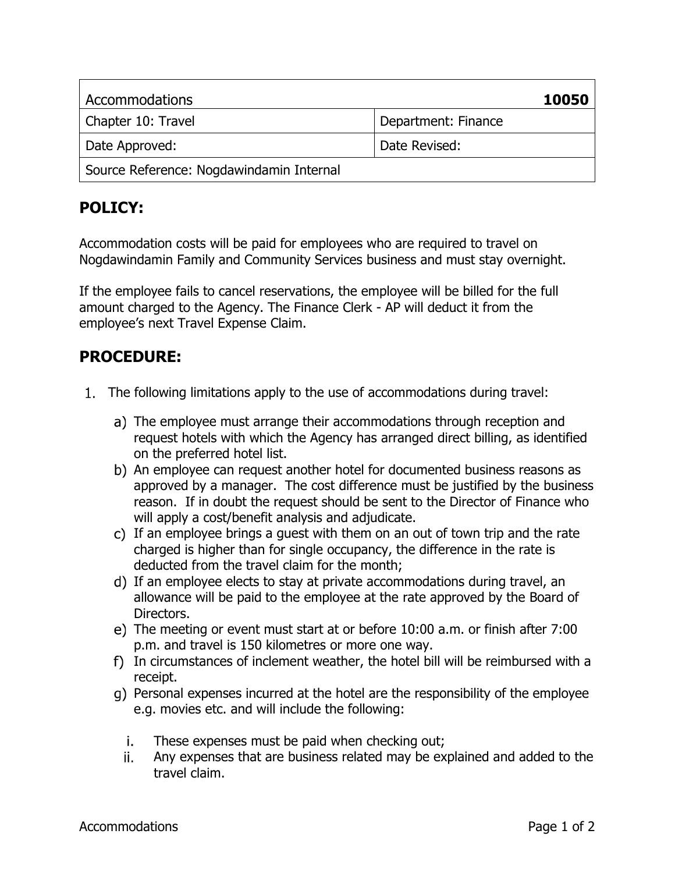| Accommodations                           | 10050               |
|------------------------------------------|---------------------|
| Chapter 10: Travel                       | Department: Finance |
| Date Approved:                           | Date Revised:       |
| Source Reference: Nogdawindamin Internal |                     |

Accommodation costs will be paid for employees who are required to travel on Nogdawindamin Family and Community Services business and must stay overnight.

If the employee fails to cancel reservations, the employee will be billed for the full amount charged to the Agency. The Finance Clerk - AP will deduct it from the employee's next Travel Expense Claim.

- The following limitations apply to the use of accommodations during travel:
	- a) The employee must arrange their accommodations through reception and request hotels with which the Agency has arranged direct billing, as identified on the preferred hotel list.
	- b) An employee can request another hotel for documented business reasons as approved by a manager. The cost difference must be justified by the business reason. If in doubt the request should be sent to the Director of Finance who will apply a cost/benefit analysis and adjudicate.
	- c) If an employee brings a quest with them on an out of town trip and the rate charged is higher than for single occupancy, the difference in the rate is deducted from the travel claim for the month;
	- d) If an employee elects to stay at private accommodations during travel, an allowance will be paid to the employee at the rate approved by the Board of Directors.
	- The meeting or event must start at or before 10:00 a.m. or finish after 7:00 p.m. and travel is 150 kilometres or more one way.
	- In circumstances of inclement weather, the hotel bill will be reimbursed with a receipt.
	- Personal expenses incurred at the hotel are the responsibility of the employee e.g. movies etc. and will include the following:
		- j. These expenses must be paid when checking out;
		- Any expenses that are business related may be explained and added to the ii. travel claim.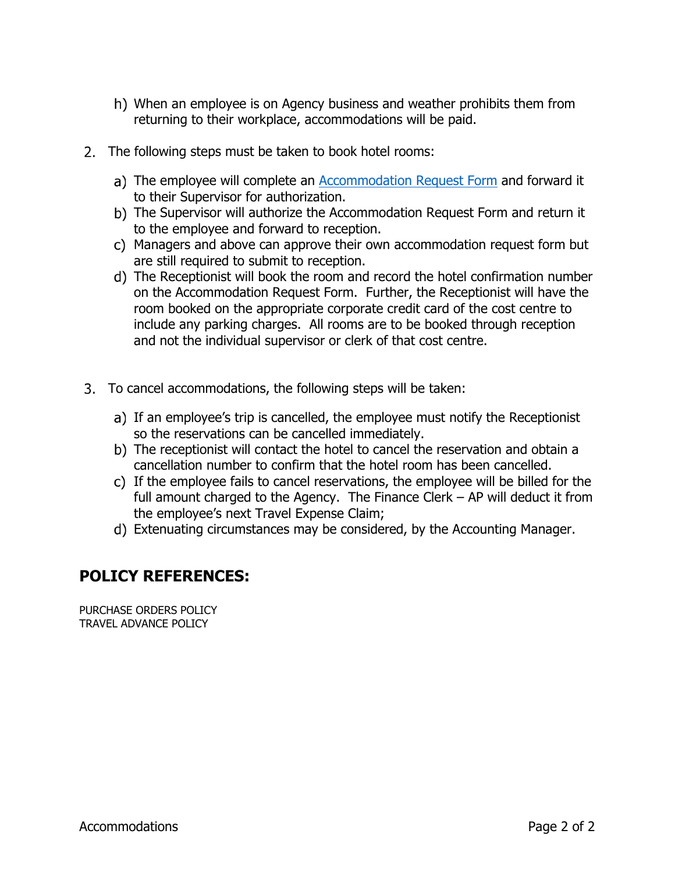- When an employee is on Agency business and weather prohibits them from returning to their workplace, accommodations will be paid.
- 2. The following steps must be taken to book hotel rooms:
	- a) The employee will complete an **Accommodation Request Form** and forward it to their Supervisor for authorization.
	- b) The Supervisor will authorize the Accommodation Request Form and return it to the employee and forward to reception.
	- Managers and above can approve their own accommodation request form but are still required to submit to reception.
	- The Receptionist will book the room and record the hotel confirmation number on the Accommodation Request Form. Further, the Receptionist will have the room booked on the appropriate corporate credit card of the cost centre to include any parking charges. All rooms are to be booked through reception and not the individual supervisor or clerk of that cost centre.
- To cancel accommodations, the following steps will be taken:
	- a) If an employee's trip is cancelled, the employee must notify the Receptionist so the reservations can be cancelled immediately.
	- The receptionist will contact the hotel to cancel the reservation and obtain a cancellation number to confirm that the hotel room has been cancelled.
	- If the employee fails to cancel reservations, the employee will be billed for the full amount charged to the Agency. The Finance Clerk – AP will deduct it from the employee's next Travel Expense Claim;
	- Extenuating circumstances may be considered, by the Accounting Manager.

#### **POLICY REFERENCES:**

PURCHASE ORDERS POLICY TRAVEL ADVANCE POLICY